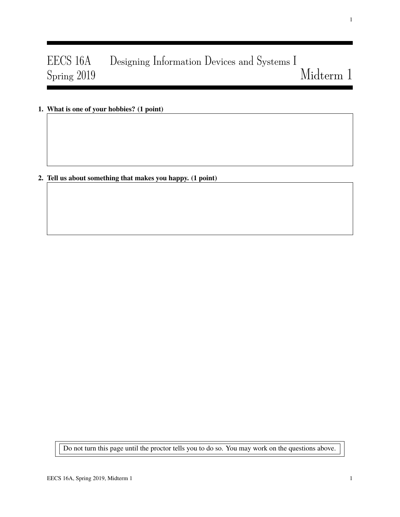# EECS 16A Designing Information Devices and Systems I Spring 2019 Midterm 1

1. What is one of your hobbies? (1 point)

2. Tell us about something that makes you happy. (1 point)

Do not turn this page until the proctor tells you to do so. You may work on the questions above.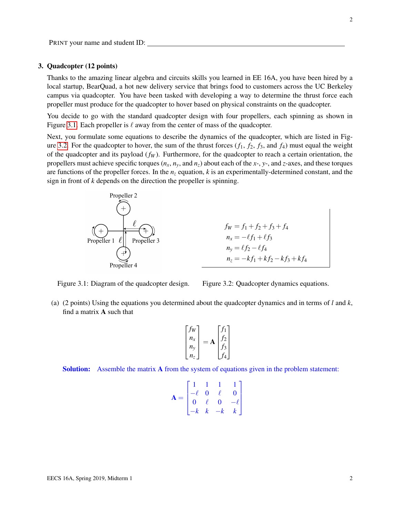# 3. Quadcopter (12 points)

Thanks to the amazing linear algebra and circuits skills you learned in EE 16A, you have been hired by a local startup, BearQuad, a hot new delivery service that brings food to customers across the UC Berkeley campus via quadcopter. You have been tasked with developing a way to determine the thrust force each propeller must produce for the quadcopter to hover based on physical constraints on the quadcopter.

You decide to go with the standard quadcopter design with four propellers, each spinning as shown in Figure [3.1.](#page-1-0) Each propeller is  $\ell$  away from the center of mass of the quadcopter.

Next, you formulate some equations to describe the dynamics of the quadcopter, which are listed in Fig-ure [3.2.](#page-1-0) For the quadcopter to hover, the sum of the thrust forces  $(f_1, f_2, f_3,$  and  $f_4$ ) must equal the weight of the quadcopter and its payload (*f<sup>W</sup>* ). Furthermore, for the quadcopter to reach a certain orientation, the propellers must achieve specific torques  $(n_x, n_y, \text{ and } n_z)$  about each of the *x*-, *y*-, and *z*-axes, and these torques are functions of the propeller forces. In the  $n<sub>z</sub>$  equation,  $k$  is an experimentally-determined constant, and the sign in front of *k* depends on the direction the propeller is spinning.

<span id="page-1-0"></span>

$$
f_W = f_1 + f_2 + f_3 + f_4
$$
  
\n
$$
n_x = -\ell f_1 + \ell f_3
$$
  
\n
$$
n_y = \ell f_2 - \ell f_4
$$
  
\n
$$
n_z = -kf_1 + kf_2 - kf_3 + kf_4
$$

Figure 3.1: Diagram of the quadcopter design.

Figure 3.2: Quadcopter dynamics equations.

(a) (2 points) Using the equations you determined about the quadcopter dynamics and in terms of *l* and *k*, find a matrix A such that

$$
\begin{bmatrix} f_W \\ n_x \\ n_y \\ n_z \end{bmatrix} = \mathbf{A} \begin{bmatrix} f_1 \\ f_2 \\ f_3 \\ f_4 \end{bmatrix}
$$

Solution: Assemble the matrix **A** from the system of equations given in the problem statement:

$$
\mathbf{A} = \begin{bmatrix} 1 & 1 & 1 & 1 \\ -\ell & 0 & \ell & 0 \\ 0 & \ell & 0 & -\ell \\ -k & k & -k & k \end{bmatrix}
$$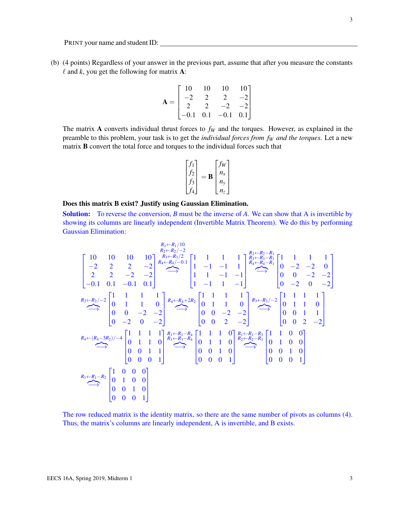(b) (4 points) Regardless of your answer in the previous part, assume that after you measure the constants  $\ell$  and  $k$ , you get the following for matrix **A**:

$$
\mathbf{A} = \begin{bmatrix} 10 & 10 & 10 & 10 \\ -2 & 2 & 2 & -2 \\ 2 & 2 & -2 & -2 \\ -0.1 & 0.1 & -0.1 & 0.1 \end{bmatrix}
$$

The matrix A converts individual thrust forces to  $f_W$  and the torques. However, as explained in the preamble to this problem, your task is to get the *individual forces from f<sup>W</sup> and the torques*. Let a new matrix B convert the total force and torques to the individual forces such that

$$
\begin{bmatrix} f_1 \\ f_2 \\ f_3 \\ f_4 \end{bmatrix} = \mathbf{B} \begin{bmatrix} f_W \\ n_x \\ n_y \\ n_z \end{bmatrix}
$$

# Does this matrix B exist? Justify using Gaussian Elimination.

Solution: To reverse the conversion, *B* must be the inverse of *A*. We can show that A is invertible by showing its columns are linearly independent (Invertible Matrix Theorem). We do this by performing Gaussian Elimination:

 10 10 10 10 −2 2 2 −2 2 2 −2 −2 −0.1 0.1 −0.1 0.1 *R*1←*R*1/10 *R*2←*R*2/−2 *R*3←*R*3/2 *R*4←*R*4/−0.1 z}|{ −→ 1 1 1 1 1 −1 −1 1 1 1 −1 −1 1 −1 1 −1 *R*2←*R*2−*R*<sup>1</sup> *R*3←*R*3−*R*<sup>1</sup> *R*4←*R*4−*R*<sup>1</sup> z}|{ −→ 1 1 1 1 0 −2 −2 0 0 0 −2 −2 0 −2 0 −2 *R*2←*R*2/−2 z}|{ −→ 1 1 1 1 0 1 1 0 0 0 −2 −2 0 −2 0 −2 *R*4←*R*4+2*R*<sup>2</sup> z}|{ −→ 1 1 1 1 0 1 1 0 0 0 −2 −2 0 0 2 −2 *R*3←*R*3/−2 z}|{ −→ 1 1 1 1 0 1 1 0 0 0 1 1 0 0 2 −2 *R*4←(*R*4−3*R*2)/−4 z}|{ −→ 1 1 1 1 0 1 1 0 0 0 1 1 0 0 0 1 *R*1←*R*1−*R*<sup>4</sup> *R*3←*R*3−*R*<sup>4</sup> z}|{ −→ 1 1 1 0 0 1 1 0 0 0 1 0 0 0 0 1 *R*1←*R*1−*R*<sup>3</sup> *R*2←*R*2−*R*<sup>3</sup> z}|{ −→ 1 1 0 0 0 1 0 0 0 0 1 0 0 0 0 1 *R*1←*R*1−*R*<sup>2</sup> z}|{ −→ 1 0 0 0 0 1 0 0 0 0 1 0 0 0 0 1 

The row reduced matrix is the identity matrix, so there are the same number of pivots as columns (4). Thus, the matrix's columns are linearly independent, A is invertible, and B exists.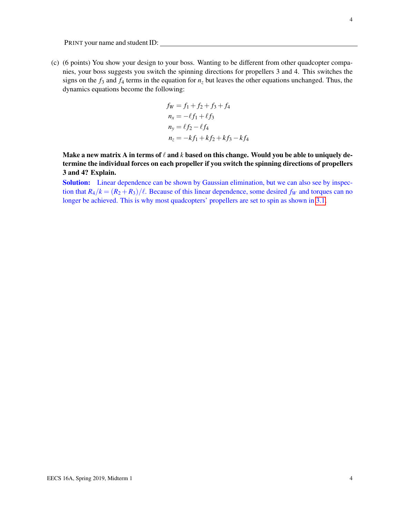(c) (6 points) You show your design to your boss. Wanting to be different from other quadcopter companies, your boss suggests you switch the spinning directions for propellers 3 and 4. This switches the signs on the  $f_3$  and  $f_4$  terms in the equation for  $n<sub>z</sub>$  but leaves the other equations unchanged. Thus, the dynamics equations become the following:

$$
f_W = f_1 + f_2 + f_3 + f_4
$$
  
\n
$$
n_x = -\ell f_1 + \ell f_3
$$
  
\n
$$
n_y = \ell f_2 - \ell f_4
$$
  
\n
$$
n_z = -kf_1 + kf_2 + kf_3 - kf_4
$$

Make a new matrix A in terms of  $\ell$  and  $k$  based on this change. Would you be able to uniquely determine the individual forces on each propeller if you switch the spinning directions of propellers 3 and 4? Explain.

Solution: Linear dependence can be shown by Gaussian elimination, but we can also see by inspection that  $R_4/k = (R_2 + R_3)/\ell$ . Because of this linear dependence, some desired  $f_W$  and torques can no longer be achieved. This is why most quadcopters' propellers are set to spin as shown in [3.1.](#page-1-0)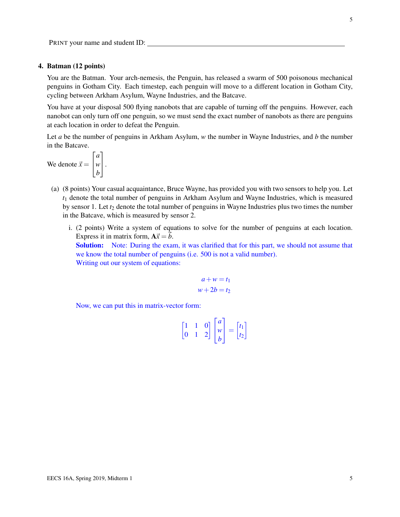# 4. Batman (12 points)

You are the Batman. Your arch-nemesis, the Penguin, has released a swarm of 500 poisonous mechanical penguins in Gotham City. Each timestep, each penguin will move to a different location in Gotham City, cycling between Arkham Asylum, Wayne Industries, and the Batcave.

You have at your disposal 500 flying nanobots that are capable of turning off the penguins. However, each nanobot can only turn off one penguin, so we must send the exact number of nanobots as there are penguins at each location in order to defeat the Penguin.

Let *a* be the number of penguins in Arkham Asylum, *w* the number in Wayne Industries, and *b* the number in the Batcave.

We denote  $\vec{x} =$  $\sqrt{ }$  $\overline{1}$ *a w b* 1  $\vert \cdot$ 

- (a) (8 points) Your casual acquaintance, Bruce Wayne, has provided you with two sensors to help you. Let *t*<sup>1</sup> denote the total number of penguins in Arkham Asylum and Wayne Industries, which is measured by sensor 1. Let  $t_2$  denote the total number of penguins in Wayne Industries plus two times the number in the Batcave, which is measured by sensor 2.
	- i. (2 points) Write a system of equations to solve for the number of penguins at each location. Express it in matrix form,  $A\vec{x} = \vec{b}$ .

Solution: Note: During the exam, it was clarified that for this part, we should not assume that we know the total number of penguins (i.e. 500 is not a valid number). Writing out our system of equations:

$$
a + w = t_1
$$
  

$$
w + 2b = t_2
$$

Now, we can put this in matrix-vector form:

$$
\begin{bmatrix} 1 & 1 & 0 \\ 0 & 1 & 2 \end{bmatrix} \begin{bmatrix} a \\ w \\ b \end{bmatrix} = \begin{bmatrix} t_1 \\ t_2 \end{bmatrix}
$$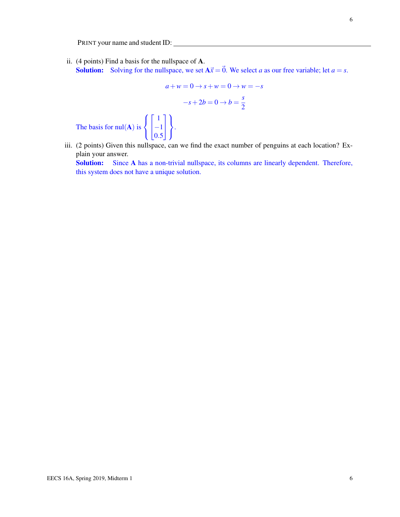$\sqrt{ }$ J  $\mathcal{L}$ 

 $\sqrt{ }$  $\mathbf{I}$ 

The basis for  $null(A)$  is

ii. (4 points) Find a basis for the nullspace of A. **Solution:** Solving for the nullspace, we set  $A\vec{x} = \vec{0}$ . We select *a* as our free variable; let  $a = s$ .

$$
a + w = 0 \rightarrow s + w = 0 \rightarrow w = -s
$$

$$
-s + 2b = 0 \rightarrow b = \frac{s}{2}
$$

$$
\begin{bmatrix} 1 \\ -1 \\ 0.5 \end{bmatrix}.
$$

iii. (2 points) Given this nullspace, can we find the exact number of penguins at each location? Explain your answer.

Solution: Since A has a non-trivial nullspace, its columns are linearly dependent. Therefore, this system does not have a unique solution.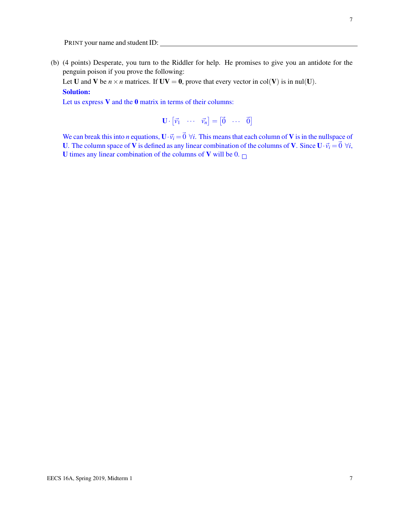(b) (4 points) Desperate, you turn to the Riddler for help. He promises to give you an antidote for the penguin poison if you prove the following:

Let U and V be  $n \times n$  matrices. If  $UV = 0$ , prove that every vector in col(V) is in nul(U). Solution:

Let us express  $V$  and the  $0$  matrix in terms of their columns:

 $\mathbf{U} \cdot \begin{bmatrix} \vec{v_1} & \cdots & \vec{v_n} \end{bmatrix} = \begin{bmatrix} \vec{0} & \cdots & \vec{0} \end{bmatrix}$ 

We can break this into *n* equations,  $\mathbf{U} \cdot \vec{v}_i = \vec{0}$   $\forall i$ . This means that each column of **V** is in the nullspace of U. The column space of V is defined as any linear combination of the columns of V. Since  $U \cdot \vec{v}_i = \vec{0} \forall i$ , U times any linear combination of the columns of V will be 0.  $\Box$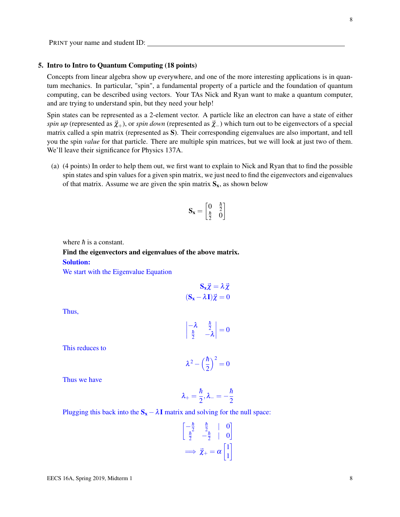#### 5. Intro to Intro to Quantum Computing (18 points)

Concepts from linear algebra show up everywhere, and one of the more interesting applications is in quantum mechanics. In particular, "spin", a fundamental property of a particle and the foundation of quantum computing, can be described using vectors. Your TAs Nick and Ryan want to make a quantum computer, and are trying to understand spin, but they need your help!

Spin states can be represented as a 2-element vector. A particle like an electron can have a state of either *spin up* (represented as  $\vec{\chi}_+$ ), or *spin down* (represented as  $\vec{\chi}_-$ ) which turn out to be eigenvectors of a special matrix called a spin matrix (represented as S). Their corresponding eigenvalues are also important, and tell you the spin *value* for that particle. There are multiple spin matrices, but we will look at just two of them. We'll leave their significance for Physics 137A.

(a) (4 points) In order to help them out, we first want to explain to Nick and Ryan that to find the possible spin states and spin values for a given spin matrix, we just need to find the eigenvectors and eigenvalues of that matrix. Assume we are given the spin matrix  $S_x$ , as shown below

$$
\mathbf{S_x} = \begin{bmatrix} 0 & \frac{\hbar}{2} \\ \frac{\hbar}{2} & 0 \end{bmatrix}
$$

where  $\hbar$  is a constant.

Find the eigenvectors and eigenvalues of the above matrix. Solution:

We start with the Eigenvalue Equation

$$
\mathbf{S}_{\mathbf{x}}\vec{\chi} = \lambda \vec{\chi}
$$

$$
(\mathbf{S}_{\mathbf{x}} - \lambda \mathbf{I})\vec{\chi} = 0
$$

Thus,

$$
\begin{vmatrix} -\lambda & \frac{\hbar}{2} \\ \frac{\hbar}{2} & -\lambda \end{vmatrix} = 0
$$

This reduces to

$$
\lambda^2 - \left(\frac{\hbar}{2}\right)^2 = 0
$$

Thus we have

$$
\lambda_+=\frac{\hbar}{2}, \lambda_-=-\frac{\hbar}{2}
$$

Plugging this back into the 
$$
S_x - \lambda I
$$
 matrix and solving for the null space:

$$
\begin{bmatrix} -\frac{\hbar}{2} & \frac{\hbar}{2} & | & 0\\ \frac{\hbar}{2} & -\frac{\hbar}{2} & | & 0 \end{bmatrix}
$$

$$
\implies \vec{\chi}_{+} = \alpha \begin{bmatrix} 1\\1 \end{bmatrix}
$$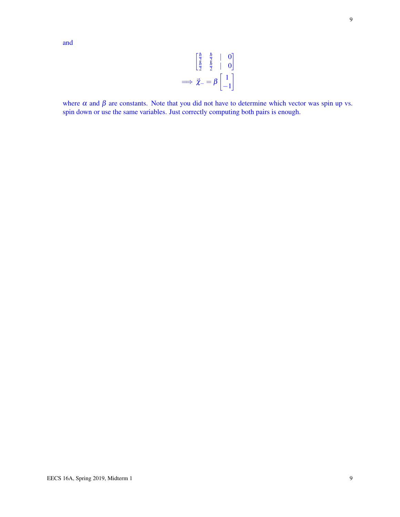$$
\begin{bmatrix} \frac{\hbar}{2} & \frac{\hbar}{2} & | & 0\\ \frac{\hbar}{2} & \frac{\hbar}{2} & | & 0 \end{bmatrix}
$$

$$
\implies \vec{\chi}_{-} = \beta \begin{bmatrix} 1\\ -1 \end{bmatrix}
$$

where  $\alpha$  and  $\beta$  are constants. Note that you did not have to determine which vector was spin up vs. spin down or use the same variables. Just correctly computing both pairs is enough.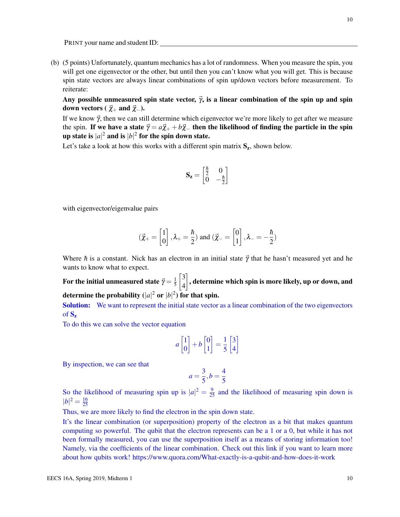(b) (5 points) Unfortunately, quantum mechanics has a lot of randomness. When you measure the spin, you will get one eigenvector or the other, but until then you can't know what you will get. This is because spin state vectors are always linear combinations of spin up/down vectors before measurement. To reiterate:

Any possible unmeasured spin state vector,  $\vec{\gamma}$ , is a linear combination of the spin up and spin down vectors ( $\vec{\chi}_+$  and  $\vec{\chi}_-$ ).

If we know  $\vec{\gamma}$ , then we can still determine which eigenvector we're more likely to get after we measure the spin. If we have a state  $\vec{\gamma} = a\vec{\chi}_+ + b\vec{\chi}_-$  then the likelihood of finding the particle in the spin up state is  $|a|^2$  and is  $|b|^2$  for the spin down state.

Let's take a look at how this works with a different spin matrix  $S_z$ , shown below.

$$
\mathbf{S}_{\mathbf{z}} = \begin{bmatrix} \frac{\hbar}{2} & 0\\ 0 & -\frac{\hbar}{2} \end{bmatrix}
$$

with eigenvector/eigenvalue pairs

$$
(\vec{\chi}_{+} = \begin{bmatrix} 1 \\ 0 \end{bmatrix}, \lambda_{+} = \frac{\hbar}{2})
$$
 and  $(\vec{\chi}_{-} = \begin{bmatrix} 0 \\ 1 \end{bmatrix}, \lambda_{-} = -\frac{\hbar}{2})$ 

Where *h* is a constant. Nick has an electron in an initial state  $\vec{\gamma}$  that he hasn't measured yet and he wants to know what to expect.

For the initial unmeasured state  $\vec{\gamma} = \frac{1}{5}$ 5  $\left\lceil 3 \right\rceil$ 4  $\rceil$ , determine which spin is more likely, up or down, and determine the probability  $(|a|^2 \text{ or } |b|^2)$  for that spin.

Solution: We want to represent the initial state vector as a linear combination of the two eigenvectors of  $S_z$ 

To do this we can solve the vector equation

$$
a \begin{bmatrix} 1 \\ 0 \end{bmatrix} + b \begin{bmatrix} 0 \\ 1 \end{bmatrix} = \frac{1}{5} \begin{bmatrix} 3 \\ 4 \end{bmatrix}
$$

By inspection, we can see that

$$
a = \frac{3}{5}, b = \frac{4}{5}
$$

So the likelihood of measuring spin up is  $|a|^2 = \frac{9}{25}$  and the likelihood of measuring spin down is  $|b|^2 = \frac{16}{25}$ 25

Thus, we are more likely to find the electron in the spin down state.

It's the linear combination (or superposition) property of the electron as a bit that makes quantum computing so powerful. The qubit that the electron represents can be a 1 or a 0, but while it has not been formally measured, you can use the superposition itself as a means of storing information too! Namely, via the coefficients of the linear combination. Check out this link if you want to learn more about how qubits work! https://www.quora.com/What-exactly-is-a-qubit-and-how-does-it-work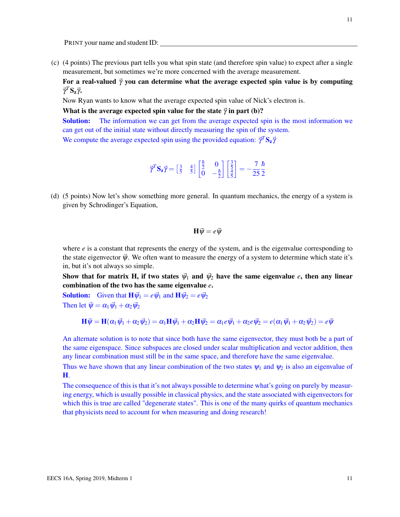(c) (4 points) The previous part tells you what spin state (and therefore spin value) to expect after a single measurement, but sometimes we're more concerned with the average measurement.

For a real-valued  $\vec{\gamma}$  you can determine what the average expected spin value is by computing  $\vec{\gamma}^T S_z \vec{\gamma}$ .

Now Ryan wants to know what the average expected spin value of Nick's electron is.

What is the average expected spin value for the state  $\vec{\gamma}$  in part (b)?

Solution: The information we can get from the average expected spin is the most information we can get out of the initial state without directly measuring the spin of the system.

We compute the average expected spin using the provided equation:  $\vec{\gamma}^T \mathbf{S}_z \vec{\gamma}$ 

$$
\vec{\gamma}^T \mathbf{S}_\mathbf{z} \vec{\gamma} = \begin{bmatrix} \frac{3}{5} & \frac{4}{5} \end{bmatrix} \begin{bmatrix} \frac{\hbar}{2} & 0\\ 0 & -\frac{\hbar}{2} \end{bmatrix} \begin{bmatrix} \frac{3}{5} \\ \frac{4}{5} \end{bmatrix} = -\frac{7}{25} \frac{\hbar}{2}
$$

(d) (5 points) Now let's show something more general. In quantum mechanics, the energy of a system is given by Schrodinger's Equation,

$$
\mathbf{H}\vec{\psi} = e\vec{\psi}
$$

where  $e$  is a constant that represents the energy of the system, and is the eigenvalue corresponding to the state eigenvector  $\vec{\psi}$ . We often want to measure the energy of a system to determine which state it's in, but it's not always so simple.

Show that for matrix H, if two states  $\vec{\psi}_1$  and  $\vec{\psi}_2$  have the same eigenvalue *e*, then any linear combination of the two has the same eigenvalue *e*.

**Solution:** Given that  $\mathbf{H}\vec{\psi}_1 = e\vec{\psi}_1$  and  $\mathbf{H}\vec{\psi}_2 = e\vec{\psi}_2$ Then let  $\vec{\psi} = \alpha_1 \vec{\psi}_1 + \alpha_2 \vec{\psi}_2$ 

$$
\mathbf{H}\vec{\psi} = \mathbf{H}(\alpha_1\vec{\psi}_1 + \alpha_2\vec{\psi}_2) = \alpha_1\mathbf{H}\vec{\psi}_1 + \alpha_2\mathbf{H}\vec{\psi}_2 = \alpha_1e\vec{\psi}_1 + \alpha_2e\vec{\psi}_2 = e(\alpha_1\vec{\psi}_1 + \alpha_2\vec{\psi}_2) = e\vec{\psi}
$$

An alternate solution is to note that since both have the same eigenvector, they must both be a part of the same eigenspace. Since subspaces are closed under scalar multiplication and vector addition, then any linear combination must still be in the same space, and therefore have the same eigenvalue.

Thus we have shown that any linear combination of the two states  $\psi_1$  and  $\psi_2$  is also an eigenvalue of H.

The consequence of this is that it's not always possible to determine what's going on purely by measuring energy, which is usually possible in classical physics, and the state associated with eigenvectors for which this is true are called "degenerate states". This is one of the many quirks of quantum mechanics that physicists need to account for when measuring and doing research!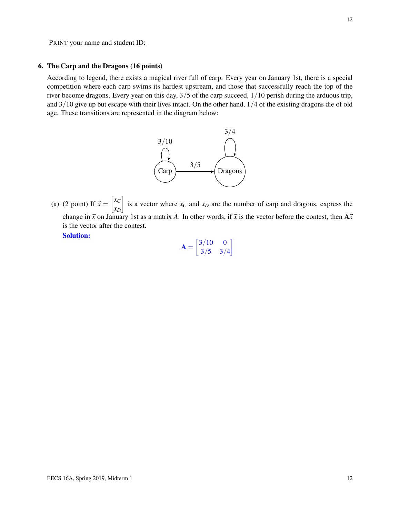# 6. The Carp and the Dragons (16 points)

According to legend, there exists a magical river full of carp. Every year on January 1st, there is a special competition where each carp swims its hardest upstream, and those that successfully reach the top of the river become dragons. Every year on this day, 3/5 of the carp succeed, 1/10 perish during the arduous trip, and 3/10 give up but escape with their lives intact. On the other hand, 1/4 of the existing dragons die of old age. These transitions are represented in the diagram below:



(a) (2 point) If  $\vec{x} = \begin{bmatrix} x_C \\ x_C \end{bmatrix}$ *xD* is a vector where  $x_C$  and  $x_D$  are the number of carp and dragons, express the change in  $\vec{x}$  on January 1st as a matrix *A*. In other words, if  $\vec{x}$  is the vector before the contest, then  $A\vec{x}$ is the vector after the contest.

Solution:

| ${\bf A} =$ | $\left\lceil \frac{3}{10} \right\rceil$ | 0   |
|-------------|-----------------------------------------|-----|
|             | 3/5                                     | 3/4 |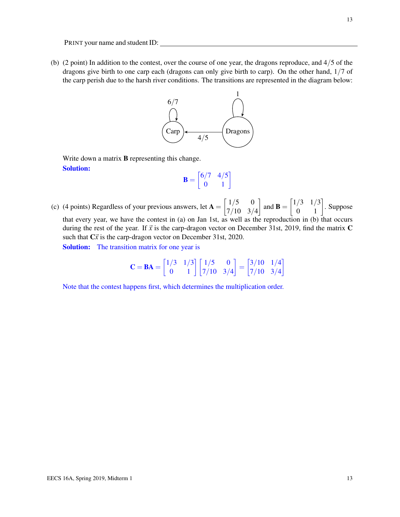(b) (2 point) In addition to the contest, over the course of one year, the dragons reproduce, and 4/5 of the dragons give birth to one carp each (dragons can only give birth to carp). On the other hand, 1/7 of the carp perish due to the harsh river conditions. The transitions are represented in the diagram below:



Write down a matrix **B** representing this change. Solution:

$$
\mathbf{B} = \begin{bmatrix} 6/7 & 4/5 \\ 0 & 1 \end{bmatrix}
$$

(c) (4 points) Regardless of your previous answers, let  $A = \begin{bmatrix} 1/5 & 0 \\ 7/10 & 2 \end{bmatrix}$ 7/10 3/4 and **B** =  $\begin{bmatrix} 1/3 & 1/3 \\ 0 & 1 \end{bmatrix}$ . Suppose that every year, we have the contest in (a) on Jan 1st, as well as the reproduction in (b) that occurs during the rest of the year. If  $\vec{x}$  is the carp-dragon vector on December 31st, 2019, find the matrix C such that  $C\vec{x}$  is the carp-dragon vector on December 31st, 2020.

Solution: The transition matrix for one year is

$$
\mathbf{C} = \mathbf{BA} = \begin{bmatrix} 1/3 & 1/3 \\ 0 & 1 \end{bmatrix} \begin{bmatrix} 1/5 & 0 \\ 7/10 & 3/4 \end{bmatrix} = \begin{bmatrix} 3/10 & 1/4 \\ 7/10 & 3/4 \end{bmatrix}
$$

Note that the contest happens first, which determines the multiplication order.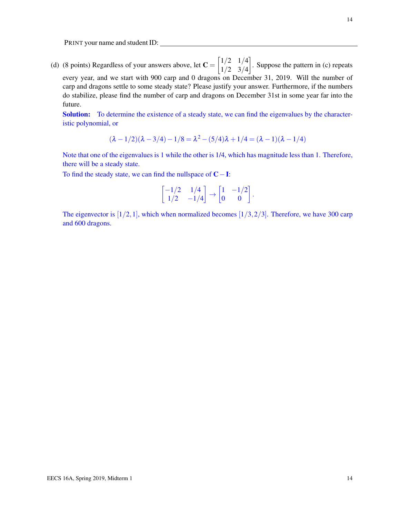(d) (8 points) Regardless of your answers above, let  $C = \begin{bmatrix} 1/2 & 1/4 \\ 1/2 & 2/4 \end{bmatrix}$ 1/2 3/4 . Suppose the pattern in (c) repeats every year, and we start with 900 carp and 0 dragons on December 31, 2019. Will the number of carp and dragons settle to some steady state? Please justify your answer. Furthermore, if the numbers do stabilize, please find the number of carp and dragons on December 31st in some year far into the future.

Solution: To determine the existence of a steady state, we can find the eigenvalues by the characteristic polynomial, or

$$
(\lambda - 1/2)(\lambda - 3/4) - 1/8 = \lambda^2 - (5/4)\lambda + 1/4 = (\lambda - 1)(\lambda - 1/4)
$$

Note that one of the eigenvalues is 1 while the other is 1/4, which has magnitude less than 1. Therefore, there will be a steady state.

To find the steady state, we can find the nullspace of C−I:

$$
\begin{bmatrix} -1/2 & 1/4 \\ 1/2 & -1/4 \end{bmatrix} \rightarrow \begin{bmatrix} 1 & -1/2 \\ 0 & 0 \end{bmatrix}.
$$

The eigenvector is  $[1/2,1]$ , which when normalized becomes  $[1/3,2/3]$ . Therefore, we have 300 carp and 600 dragons.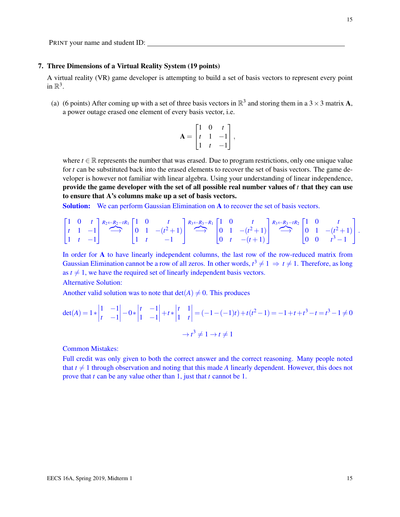#### 7. Three Dimensions of a Virtual Reality System (19 points)

A virtual reality (VR) game developer is attempting to build a set of basis vectors to represent every point in  $\mathbb{R}^3$ .

(a) (6 points) After coming up with a set of three basis vectors in  $\mathbb{R}^3$  and storing them in a 3  $\times$  3 matrix **A**, a power outage erased one element of every basis vector, i.e.

$$
\mathbf{A} = \begin{bmatrix} 1 & 0 & t \\ t & 1 & -1 \\ 1 & t & -1 \end{bmatrix},
$$

where  $t \in \mathbb{R}$  represents the number that was erased. Due to program restrictions, only one unique value for *t* can be substituted back into the erased elements to recover the set of basis vectors. The game developer is however not familiar with linear algebra. Using your understanding of linear independence, provide the game developer with the set of all possible real number values of *t* that they can use to ensure that A's columns make up a set of basis vectors.

**Solution:** We can perform Gaussian Elimination on A to recover the set of basis vectors.

$$
\begin{bmatrix} 1 & 0 & t \\ t & 1 & -1 \\ 1 & t & -1 \end{bmatrix} \stackrel{R_2 \leftarrow R_2 - tR_1}{\longrightarrow} \begin{bmatrix} 1 & 0 & t \\ 0 & 1 & -(t^2+1) \\ 1 & t & -1 \end{bmatrix} \stackrel{R_3 \leftarrow R_3 - R_1}{\longrightarrow} \begin{bmatrix} 1 & 0 & t \\ 0 & 1 & -(t^2+1) \\ 0 & t & -(t+1) \end{bmatrix} \stackrel{R_3 \leftarrow R_3 - tR_2}{\longrightarrow} \begin{bmatrix} 1 & 0 & t \\ 0 & 1 & -(t^2+1) \\ 0 & 0 & t^3-1 \end{bmatrix}.
$$

In order for A to have linearly independent columns, the last row of the row-reduced matrix from Gaussian Elimination cannot be a row of all zeros. In other words,  $t^3 \neq 1 \Rightarrow t \neq 1$ . Therefore, as long as  $t \neq 1$ , we have the required set of linearly independent basis vectors.

Alternative Solution:

Another valid solution was to note that  $det(A) \neq 0$ . This produces

$$
det(A) = 1 * \begin{vmatrix} 1 & -1 \\ t & -1 \end{vmatrix} - 0 * \begin{vmatrix} t & -1 \\ 1 & -1 \end{vmatrix} + t * \begin{vmatrix} t & 1 \\ 1 & t \end{vmatrix} = (-1 - (-1)t) + t(t^2 - 1) = -1 + t + t^3 - t = t^3 - 1 \neq 0
$$
  

$$
\rightarrow t^3 \neq 1 \rightarrow t \neq 1
$$

Common Mistakes:

Full credit was only given to both the correct answer and the correct reasoning. Many people noted that  $t \neq 1$  through observation and noting that this made *A* linearly dependent. However, this does not prove that *t* can be any value other than 1, just that *t* cannot be 1.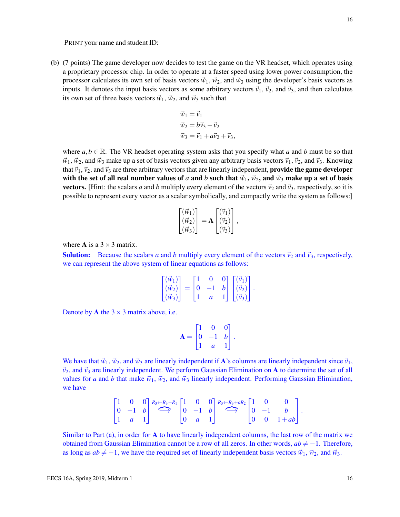(b) (7 points) The game developer now decides to test the game on the VR headset, which operates using a proprietary processor chip. In order to operate at a faster speed using lower power consumption, the processor calculates its own set of basis vectors  $\vec{w}_1$ ,  $\vec{w}_2$ , and  $\vec{w}_3$  using the developer's basis vectors as inputs. It denotes the input basis vectors as some arbitrary vectors  $\vec{v}_1$ ,  $\vec{v}_2$ , and  $\vec{v}_3$ , and then calculates its own set of three basis vectors  $\vec{w}_1$ ,  $\vec{w}_2$ , and  $\vec{w}_3$  such that

$$
\vec{w}_1 = \vec{v}_1
$$
  
\n
$$
\vec{w}_2 = b\vec{v}_3 - \vec{v}_2
$$
  
\n
$$
\vec{w}_3 = \vec{v}_1 + a\vec{v}_2 + \vec{v}_3,
$$

where  $a, b \in \mathbb{R}$ . The VR headset operating system asks that you specify what *a* and *b* must be so that  $\vec{w}_1$ ,  $\vec{w}_2$ , and  $\vec{w}_3$  make up a set of basis vectors given any arbitrary basis vectors  $\vec{v}_1$ ,  $\vec{v}_2$ , and  $\vec{v}_3$ . Knowing that  $\vec{v}_1$ ,  $\vec{v}_2$ , and  $\vec{v}_3$  are three arbitrary vectors that are linearly independent, **provide the game developer** with the set of all real number values of *a* and *b* such that  $\vec{w}_1$ ,  $\vec{w}_2$ , and  $\vec{w}_3$  make up a set of basis **vectors.** [Hint: the scalars *a* and *b* multiply every element of the vectors  $\vec{v}_2$  and  $\vec{v}_3$ , respectively, so it is possible to represent every vector as a scalar symbolically, and compactly write the system as follows:]

$$
\begin{bmatrix}\n(\vec{w}_1) \\
(\vec{w}_2) \\
(\vec{w}_3)\n\end{bmatrix} = \mathbf{A} \begin{bmatrix}\n(\vec{v}_1) \\
(\vec{v}_2) \\
(\vec{v}_3)\n\end{bmatrix},
$$

where **A** is a  $3 \times 3$  matrix.

**Solution:** Because the scalars *a* and *b* multiply every element of the vectors  $\vec{v}_2$  and  $\vec{v}_3$ , respectively, we can represent the above system of linear equations as follows:

$$
\begin{bmatrix}\n(\vec{w}_1) \\
(\vec{w}_2) \\
(\vec{w}_3)\n\end{bmatrix} = \begin{bmatrix}\n1 & 0 & 0 \\
0 & -1 & b \\
1 & a & 1\n\end{bmatrix} \begin{bmatrix}\n(\vec{v}_1) \\
(\vec{v}_2) \\
(\vec{v}_3)\n\end{bmatrix}.
$$

Denote by **A** the  $3 \times 3$  matrix above, i.e.

$$
\mathbf{A} = \begin{bmatrix} 1 & 0 & 0 \\ 0 & -1 & b \\ 1 & a & 1 \end{bmatrix}.
$$

We have that  $\vec{w}_1$ ,  $\vec{w}_2$ , and  $\vec{w}_3$  are linearly independent if **A**'s columns are linearly independent since  $\vec{v}_1$ ,  $\vec{v}_2$ , and  $\vec{v}_3$  are linearly independent. We perform Gaussian Elimination on A to determine the set of all values for *a* and *b* that make  $\vec{w}_1$ ,  $\vec{w}_2$ , and  $\vec{w}_3$  linearly independent. Performing Gaussian Elimination, we have

$$
\begin{bmatrix} 1 & 0 & 0 \ 0 & -1 & b \ 1 & a & 1 \end{bmatrix} \stackrel{R_3 \leftarrow R_3 - R_1}{\longrightarrow} \begin{bmatrix} 1 & 0 & 0 \ 0 & -1 & b \ 0 & a & 1 \end{bmatrix} \stackrel{R_3 \leftarrow R_3 + aR_2}{\longrightarrow} \begin{bmatrix} 1 & 0 & 0 \ 0 & -1 & b \ 0 & 0 & 1 + ab \end{bmatrix}.
$$

Similar to Part  $(a)$ , in order for A to have linearly independent columns, the last row of the matrix we obtained from Gaussian Elimination cannot be a row of all zeros. In other words,  $ab \neq -1$ . Therefore, as long as  $ab \neq -1$ , we have the required set of linearly independent basis vectors  $\vec{w}_1$ ,  $\vec{w}_2$ , and  $\vec{w}_3$ .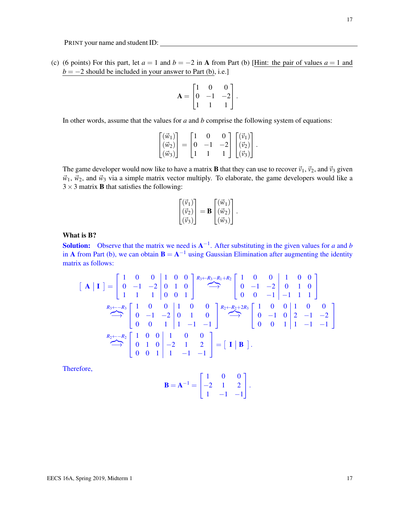(c) (6 points) For this part, let  $a = 1$  and  $b = -2$  in A from Part (b) [Hint: the pair of values  $a = 1$  and  $b = -2$  should be included in your answer to Part (b), i.e.]

$$
\mathbf{A} = \begin{bmatrix} 1 & 0 & 0 \\ 0 & -1 & -2 \\ 1 & 1 & 1 \end{bmatrix}.
$$

In other words, assume that the values for *a* and *b* comprise the following system of equations:

$$
\begin{bmatrix}\n(\vec{w}_1) \\
(\vec{w}_2) \\
(\vec{w}_3)\n\end{bmatrix} = \begin{bmatrix}\n1 & 0 & 0 \\
0 & -1 & -2 \\
1 & 1 & 1\n\end{bmatrix} \begin{bmatrix}\n(\vec{v}_1) \\
(\vec{v}_2) \\
(\vec{v}_3)\n\end{bmatrix}.
$$

The game developer would now like to have a matrix **B** that they can use to recover  $\vec{v}_1$ ,  $\vec{v}_2$ , and  $\vec{v}_3$  given  $\vec{w}_1$ ,  $\vec{w}_2$ , and  $\vec{w}_3$  via a simple matrix vector multiply. To elaborate, the game developers would like a  $3 \times 3$  matrix **B** that satisfies the following:

$$
\begin{bmatrix}\n(\vec{v}_1) \\
(\vec{v}_2) \\
(\vec{v}_3)\n\end{bmatrix} = \mathbf{B} \begin{bmatrix}\n(\vec{w}_1) \\
(\vec{w}_2) \\
(\vec{w}_3)\n\end{bmatrix}.
$$

# What is B?

**Solution:** Observe that the matrix we need is  $A^{-1}$ . After substituting in the given values for *a* and *b* in A from Part (b), we can obtain  $B = A^{-1}$  using Gaussian Elimination after augmenting the identity matrix as follows:

$$
\begin{bmatrix} \mathbf{A} \mid \mathbf{I} \end{bmatrix} = \begin{bmatrix} 1 & 0 & 0 & 1 & 0 & 0 \\ 0 & -1 & -2 & 0 & 1 & 0 \\ 1 & 1 & 1 & 0 & 0 & 1 \end{bmatrix} \stackrel{R_3 \leftarrow R_3 - R_1 + R_2}{\longrightarrow} \begin{bmatrix} 1 & 0 & 0 & 1 & 0 & 0 \\ 0 & -1 & -2 & 0 & 1 & 0 \\ 0 & 0 & -1 & -1 & 1 & 1 \end{bmatrix}
$$

$$
\stackrel{R_3 \leftarrow -R_3}{\longrightarrow} \begin{bmatrix} 1 & 0 & 0 & 1 & 0 & 0 \\ 0 & -1 & -2 & 0 & 1 & 0 \\ 0 & 0 & 1 & 1 & -1 & -1 \end{bmatrix} \stackrel{R_2 \leftarrow R_2 + 2R_3}{\longrightarrow} \begin{bmatrix} 1 & 0 & 0 & 1 & 0 & 0 \\ 0 & -1 & 0 & 2 & -1 & -2 \\ 0 & 0 & 1 & 1 & -1 & -1 \end{bmatrix}
$$

$$
\stackrel{R_2 \leftarrow -R_2}{\longrightarrow} \begin{bmatrix} 1 & 0 & 0 & 1 & 0 & 0 \\ 0 & 1 & 0 & -2 & 1 & 2 \\ 0 & 0 & 1 & 1 & -1 & -1 \end{bmatrix} = \begin{bmatrix} \mathbf{I} \mid \mathbf{B} \end{bmatrix}.
$$

Therefore,

$$
\mathbf{B} = \mathbf{A}^{-1} = \begin{bmatrix} 1 & 0 & 0 \\ -2 & 1 & 2 \\ 1 & -1 & -1 \end{bmatrix}.
$$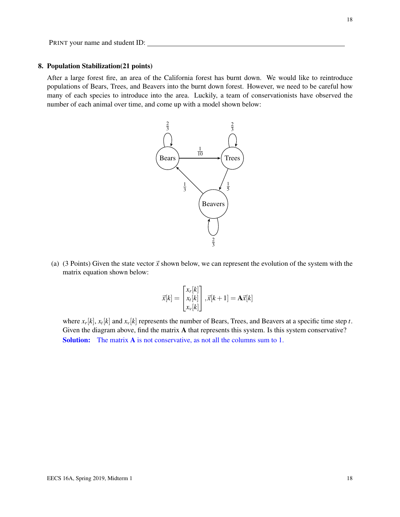#### 8. Population Stabilization(21 points)

After a large forest fire, an area of the California forest has burnt down. We would like to reintroduce populations of Bears, Trees, and Beavers into the burnt down forest. However, we need to be careful how many of each species to introduce into the area. Luckily, a team of conservationists have observed the number of each animal over time, and come up with a model shown below:



(a) (3 Points) Given the state vector  $\vec{x}$  shown below, we can represent the evolution of the system with the matrix equation shown below:

$$
\vec{x}[k] = \begin{bmatrix} x_r[k] \\ x_t[k] \\ x_v[k] \end{bmatrix}, \vec{x}[k+1] = \mathbf{A}\vec{x}[k]
$$

where  $x_r[k], x_t[k]$  and  $x_v[k]$  represents the number of Bears, Trees, and Beavers at a specific time step *t*. Given the diagram above, find the matrix A that represents this system. Is this system conservative? Solution: The matrix A is not conservative, as not all the columns sum to 1.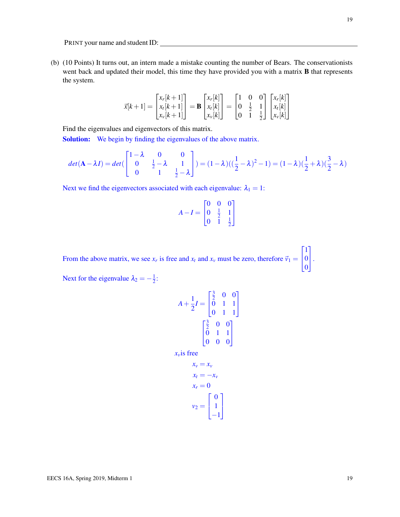(b) (10 Points) It turns out, an intern made a mistake counting the number of Bears. The conservationists went back and updated their model, this time they have provided you with a matrix **B** that represents the system.

$$
\vec{x}[k+1] = \begin{bmatrix} x_r[k+1] \\ x_t[k+1] \\ x_v[k+1] \end{bmatrix} = \mathbf{B} \begin{bmatrix} x_r[k] \\ x_t[k] \\ x_v[k] \end{bmatrix} = \begin{bmatrix} 1 & 0 & 0 \\ 0 & \frac{1}{2} & 1 \\ 0 & 1 & \frac{1}{2} \end{bmatrix} \begin{bmatrix} x_r[k] \\ x_t[k] \\ x_v[k] \end{bmatrix}
$$

Find the eigenvalues and eigenvectors of this matrix.

Solution: We begin by finding the eigenvalues of the above matrix.

$$
det(\mathbf{A} - \lambda I) = det\begin{pmatrix} 1 - \lambda & 0 & 0 \\ 0 & \frac{1}{2} - \lambda & 1 \\ 0 & 1 & \frac{1}{2} - \lambda \end{pmatrix} = (1 - \lambda)\begin{pmatrix} \frac{1}{2} - \lambda \end{pmatrix}^2 - 1 = (1 - \lambda)\begin{pmatrix} \frac{1}{2} + \lambda \end{pmatrix} \begin{pmatrix} \frac{3}{2} - \lambda \end{pmatrix}
$$

Next we find the eigenvectors associated with each eigenvalue:  $\lambda_1 = 1$ :

$$
A - I = \begin{bmatrix} 0 & 0 & 0 \\ 0 & \frac{1}{2} & 1 \\ 0 & 1 & \frac{1}{2} \end{bmatrix}
$$

From the above matrix, we see  $x_r$  is free and  $x_t$  and  $x_v$  must be zero, therefore  $\vec{v}_1$  =  $\sqrt{ }$  $\overline{1}$ 1 0 0 1  $\vert \cdot$ 

Next for the eigenvalue  $\lambda_2 = -\frac{1}{2}$  $\frac{1}{2}$ :

$$
A + \frac{1}{2}I = \begin{bmatrix} \frac{3}{2} & 0 & 0 \\ 0 & 1 & 1 \\ 0 & 1 & 1 \end{bmatrix}
$$

$$
\begin{bmatrix} \frac{3}{2} & 0 & 0 \\ 0 & 1 & 1 \\ 0 & 0 & 0 \end{bmatrix}
$$

 $x<sub>v</sub>$ is free

$$
x_v = x_v
$$
  
\n
$$
x_t = -x_v
$$
  
\n
$$
x_r = 0
$$
  
\n
$$
v_2 = \begin{bmatrix} 0 \\ 1 \\ -1 \end{bmatrix}
$$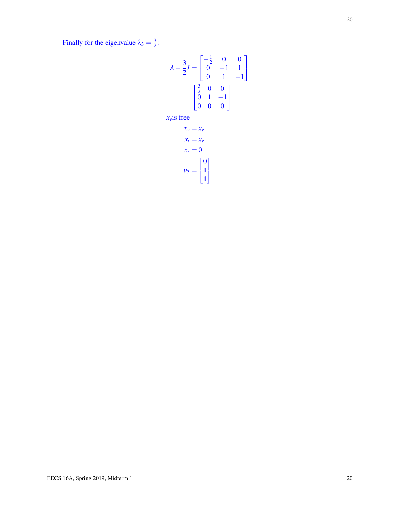Finally for the eigenvalue  $\lambda_3 = \frac{3}{2}$  $\frac{3}{2}$ :

$$
A - \frac{3}{2}I = \begin{bmatrix} -\frac{1}{2} & 0 & 0 \\ 0 & -1 & 1 \\ 0 & 1 & -1 \end{bmatrix}
$$

$$
\begin{bmatrix} \frac{3}{2} & 0 & 0 \\ 0 & 1 & -1 \\ 0 & 0 & 0 \end{bmatrix}
$$
 $x_v$  is free

$$
x_v = x_v
$$
  
\n
$$
x_t = x_v
$$
  
\n
$$
x_r = 0
$$
  
\n
$$
v_3 = \begin{bmatrix} 0 \\ 1 \\ 1 \end{bmatrix}
$$